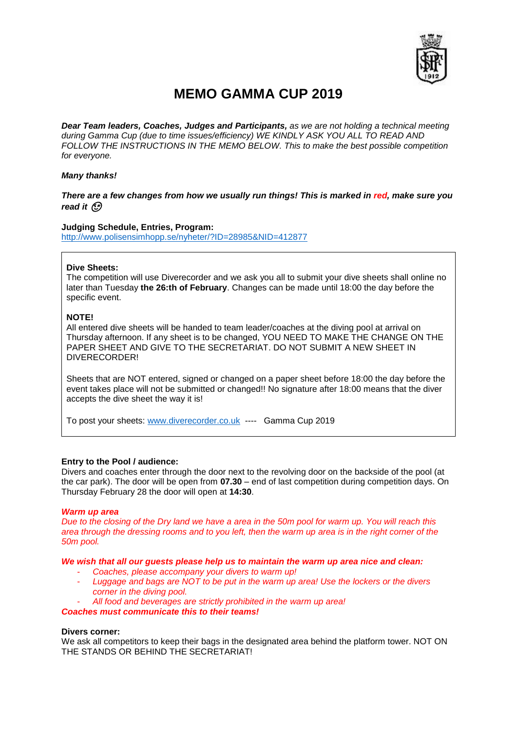

# **MEMO GAMMA CUP 2019**

*Dear Team leaders, Coaches, Judges and Participants, as we are not holding a technical meeting during Gamma Cup (due to time issues/efficiency) WE KINDLY ASK YOU ALL TO READ AND FOLLOW THE INSTRUCTIONS IN THE MEMO BELOW. This to make the best possible competition for everyone.* 

# *Many thanks!*

# *There are a few changes from how we usually run things! This is marked in red, make sure you read it*

# **Judging Schedule, Entries, Program:**

<http://www.polisensimhopp.se/nyheter/?ID=28985&NID=412877>

#### **Dive Sheets:**

The competition will use Diverecorder and we ask you all to submit your dive sheets shall online no later than Tuesday **the 26:th of February**. Changes can be made until 18:00 the day before the specific event.

# **NOTE!**

All entered dive sheets will be handed to team leader/coaches at the diving pool at arrival on Thursday afternoon. If any sheet is to be changed, YOU NEED TO MAKE THE CHANGE ON THE PAPER SHEET AND GIVE TO THE SECRETARIAT. DO NOT SUBMIT A NEW SHEET IN DIVERECORDER!

Sheets that are NOT entered, signed or changed on a paper sheet before 18:00 the day before the event takes place will not be submitted or changed!! No signature after 18:00 means that the diver accepts the dive sheet the way it is!

To post your sheets: [www.diverecorder.co.uk](http://www.diverecorder.co.uk/) ---- Gamma Cup 2019

# **Entry to the Pool / audience:**

Divers and coaches enter through the door next to the revolving door on the backside of the pool (at the car park). The door will be open from **07.30** – end of last competition during competition days. On Thursday February 28 the door will open at **14:30**.

#### *Warm up area*

*Due to the closing of the Dry land we have a area in the 50m pool for warm up. You will reach this area through the dressing rooms and to you left, then the warm up area is in the right corner of the 50m pool.*

#### *We wish that all our guests please help us to maintain the warm up area nice and clean:*

- *Coaches, please accompany your divers to warm up!*
- *Luggage and bags are NOT to be put in the warm up area! Use the lockers or the divers corner in the diving pool.*
- *All food and beverages are strictly prohibited in the warm up area!*

*Coaches must communicate this to their teams!* 

# **Divers corner:**

We ask all competitors to keep their bags in the designated area behind the platform tower. NOT ON THE STANDS OR BEHIND THE SECRETARIAT!